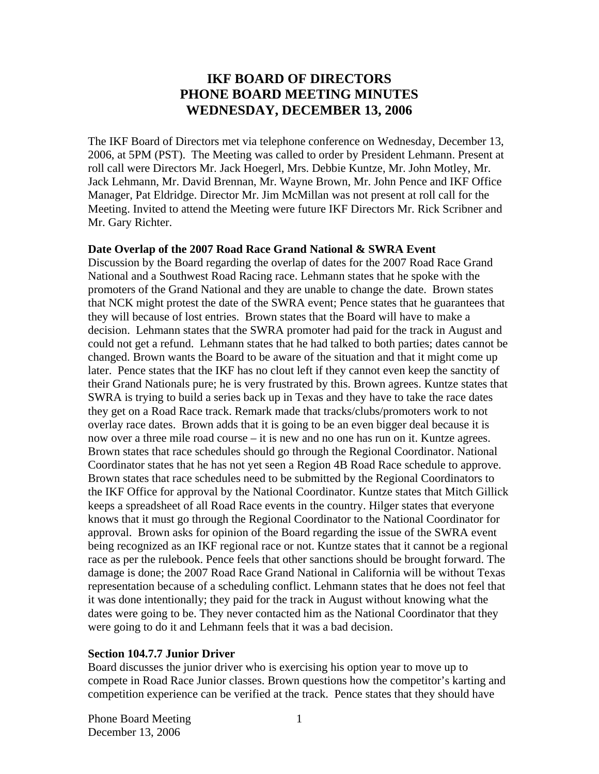# **IKF BOARD OF DIRECTORS PHONE BOARD MEETING MINUTES WEDNESDAY, DECEMBER 13, 2006**

The IKF Board of Directors met via telephone conference on Wednesday, December 13, 2006, at 5PM (PST). The Meeting was called to order by President Lehmann. Present at roll call were Directors Mr. Jack Hoegerl, Mrs. Debbie Kuntze, Mr. John Motley, Mr. Jack Lehmann, Mr. David Brennan, Mr. Wayne Brown, Mr. John Pence and IKF Office Manager, Pat Eldridge. Director Mr. Jim McMillan was not present at roll call for the Meeting. Invited to attend the Meeting were future IKF Directors Mr. Rick Scribner and Mr. Gary Richter.

#### **Date Overlap of the 2007 Road Race Grand National & SWRA Event**

Discussion by the Board regarding the overlap of dates for the 2007 Road Race Grand National and a Southwest Road Racing race. Lehmann states that he spoke with the promoters of the Grand National and they are unable to change the date. Brown states that NCK might protest the date of the SWRA event; Pence states that he guarantees that they will because of lost entries. Brown states that the Board will have to make a decision. Lehmann states that the SWRA promoter had paid for the track in August and could not get a refund. Lehmann states that he had talked to both parties; dates cannot be changed. Brown wants the Board to be aware of the situation and that it might come up later. Pence states that the IKF has no clout left if they cannot even keep the sanctity of their Grand Nationals pure; he is very frustrated by this. Brown agrees. Kuntze states that SWRA is trying to build a series back up in Texas and they have to take the race dates they get on a Road Race track. Remark made that tracks/clubs/promoters work to not overlay race dates. Brown adds that it is going to be an even bigger deal because it is now over a three mile road course – it is new and no one has run on it. Kuntze agrees. Brown states that race schedules should go through the Regional Coordinator. National Coordinator states that he has not yet seen a Region 4B Road Race schedule to approve. Brown states that race schedules need to be submitted by the Regional Coordinators to the IKF Office for approval by the National Coordinator. Kuntze states that Mitch Gillick keeps a spreadsheet of all Road Race events in the country. Hilger states that everyone knows that it must go through the Regional Coordinator to the National Coordinator for approval. Brown asks for opinion of the Board regarding the issue of the SWRA event being recognized as an IKF regional race or not. Kuntze states that it cannot be a regional race as per the rulebook. Pence feels that other sanctions should be brought forward. The damage is done; the 2007 Road Race Grand National in California will be without Texas representation because of a scheduling conflict. Lehmann states that he does not feel that it was done intentionally; they paid for the track in August without knowing what the dates were going to be. They never contacted him as the National Coordinator that they were going to do it and Lehmann feels that it was a bad decision.

#### **Section 104.7.7 Junior Driver**

Board discusses the junior driver who is exercising his option year to move up to compete in Road Race Junior classes. Brown questions how the competitor's karting and competition experience can be verified at the track. Pence states that they should have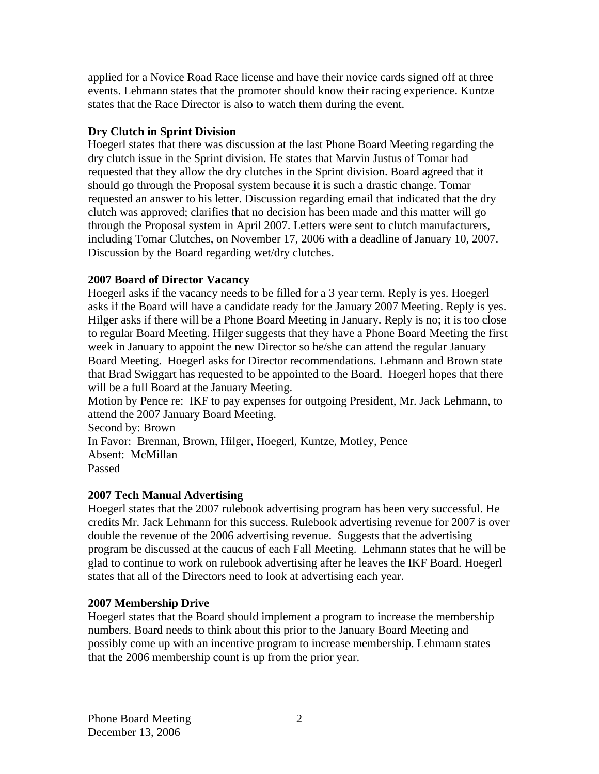applied for a Novice Road Race license and have their novice cards signed off at three events. Lehmann states that the promoter should know their racing experience. Kuntze states that the Race Director is also to watch them during the event.

## **Dry Clutch in Sprint Division**

Hoegerl states that there was discussion at the last Phone Board Meeting regarding the dry clutch issue in the Sprint division. He states that Marvin Justus of Tomar had requested that they allow the dry clutches in the Sprint division. Board agreed that it should go through the Proposal system because it is such a drastic change. Tomar requested an answer to his letter. Discussion regarding email that indicated that the dry clutch was approved; clarifies that no decision has been made and this matter will go through the Proposal system in April 2007. Letters were sent to clutch manufacturers, including Tomar Clutches, on November 17, 2006 with a deadline of January 10, 2007. Discussion by the Board regarding wet/dry clutches.

## **2007 Board of Director Vacancy**

Hoegerl asks if the vacancy needs to be filled for a 3 year term. Reply is yes. Hoegerl asks if the Board will have a candidate ready for the January 2007 Meeting. Reply is yes. Hilger asks if there will be a Phone Board Meeting in January. Reply is no; it is too close to regular Board Meeting. Hilger suggests that they have a Phone Board Meeting the first week in January to appoint the new Director so he/she can attend the regular January Board Meeting. Hoegerl asks for Director recommendations. Lehmann and Brown state that Brad Swiggart has requested to be appointed to the Board. Hoegerl hopes that there will be a full Board at the January Meeting.

Motion by Pence re: IKF to pay expenses for outgoing President, Mr. Jack Lehmann, to attend the 2007 January Board Meeting.

Second by: Brown In Favor: Brennan, Brown, Hilger, Hoegerl, Kuntze, Motley, Pence Absent: McMillan Passed

## **2007 Tech Manual Advertising**

Hoegerl states that the 2007 rulebook advertising program has been very successful. He credits Mr. Jack Lehmann for this success. Rulebook advertising revenue for 2007 is over double the revenue of the 2006 advertising revenue. Suggests that the advertising program be discussed at the caucus of each Fall Meeting. Lehmann states that he will be glad to continue to work on rulebook advertising after he leaves the IKF Board. Hoegerl states that all of the Directors need to look at advertising each year.

# **2007 Membership Drive**

Hoegerl states that the Board should implement a program to increase the membership numbers. Board needs to think about this prior to the January Board Meeting and possibly come up with an incentive program to increase membership. Lehmann states that the 2006 membership count is up from the prior year.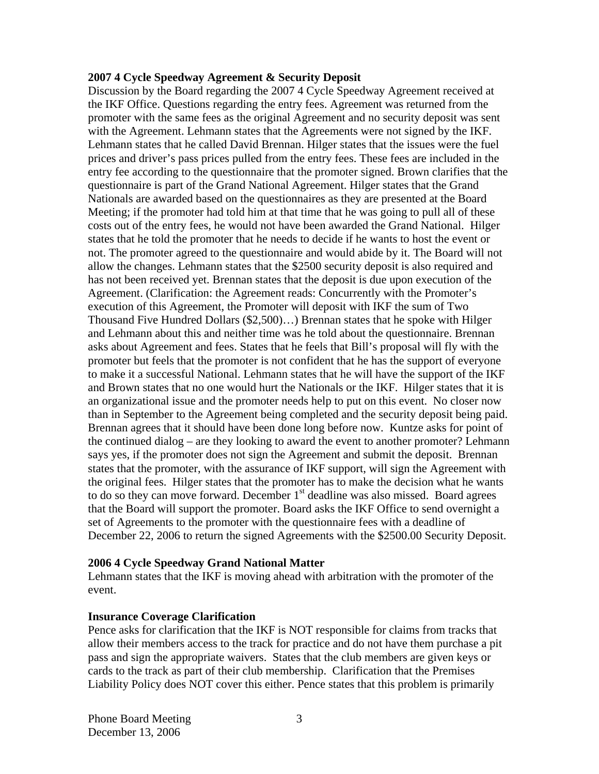#### **2007 4 Cycle Speedway Agreement & Security Deposit**

Discussion by the Board regarding the 2007 4 Cycle Speedway Agreement received at the IKF Office. Questions regarding the entry fees. Agreement was returned from the promoter with the same fees as the original Agreement and no security deposit was sent with the Agreement. Lehmann states that the Agreements were not signed by the IKF. Lehmann states that he called David Brennan. Hilger states that the issues were the fuel prices and driver's pass prices pulled from the entry fees. These fees are included in the entry fee according to the questionnaire that the promoter signed. Brown clarifies that the questionnaire is part of the Grand National Agreement. Hilger states that the Grand Nationals are awarded based on the questionnaires as they are presented at the Board Meeting; if the promoter had told him at that time that he was going to pull all of these costs out of the entry fees, he would not have been awarded the Grand National. Hilger states that he told the promoter that he needs to decide if he wants to host the event or not. The promoter agreed to the questionnaire and would abide by it. The Board will not allow the changes. Lehmann states that the \$2500 security deposit is also required and has not been received yet. Brennan states that the deposit is due upon execution of the Agreement. (Clarification: the Agreement reads: Concurrently with the Promoter's execution of this Agreement, the Promoter will deposit with IKF the sum of Two Thousand Five Hundred Dollars (\$2,500)…) Brennan states that he spoke with Hilger and Lehmann about this and neither time was he told about the questionnaire. Brennan asks about Agreement and fees. States that he feels that Bill's proposal will fly with the promoter but feels that the promoter is not confident that he has the support of everyone to make it a successful National. Lehmann states that he will have the support of the IKF and Brown states that no one would hurt the Nationals or the IKF. Hilger states that it is an organizational issue and the promoter needs help to put on this event. No closer now than in September to the Agreement being completed and the security deposit being paid. Brennan agrees that it should have been done long before now. Kuntze asks for point of the continued dialog – are they looking to award the event to another promoter? Lehmann says yes, if the promoter does not sign the Agreement and submit the deposit. Brennan states that the promoter, with the assurance of IKF support, will sign the Agreement with the original fees. Hilger states that the promoter has to make the decision what he wants to do so they can move forward. December  $1<sup>st</sup>$  deadline was also missed. Board agrees that the Board will support the promoter. Board asks the IKF Office to send overnight a set of Agreements to the promoter with the questionnaire fees with a deadline of December 22, 2006 to return the signed Agreements with the \$2500.00 Security Deposit.

#### **2006 4 Cycle Speedway Grand National Matter**

Lehmann states that the IKF is moving ahead with arbitration with the promoter of the event.

#### **Insurance Coverage Clarification**

Pence asks for clarification that the IKF is NOT responsible for claims from tracks that allow their members access to the track for practice and do not have them purchase a pit pass and sign the appropriate waivers. States that the club members are given keys or cards to the track as part of their club membership. Clarification that the Premises Liability Policy does NOT cover this either. Pence states that this problem is primarily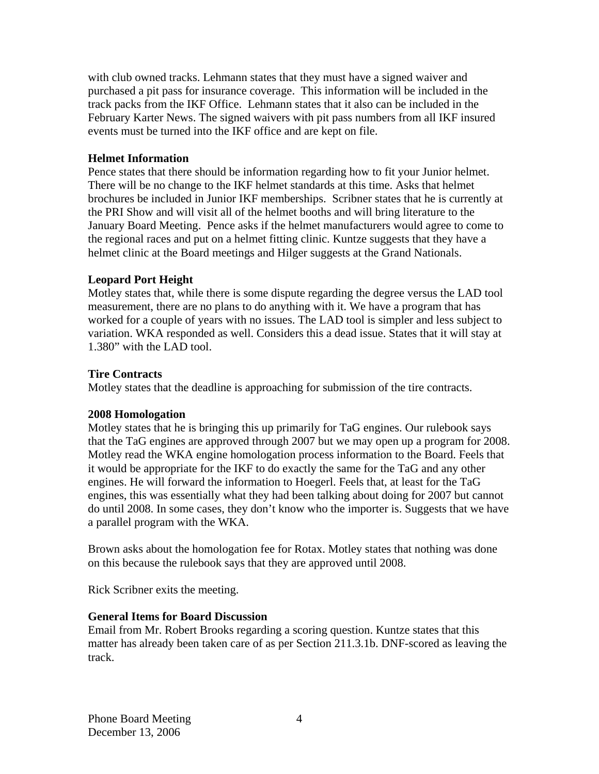with club owned tracks. Lehmann states that they must have a signed waiver and purchased a pit pass for insurance coverage. This information will be included in the track packs from the IKF Office. Lehmann states that it also can be included in the February Karter News. The signed waivers with pit pass numbers from all IKF insured events must be turned into the IKF office and are kept on file.

### **Helmet Information**

Pence states that there should be information regarding how to fit your Junior helmet. There will be no change to the IKF helmet standards at this time. Asks that helmet brochures be included in Junior IKF memberships. Scribner states that he is currently at the PRI Show and will visit all of the helmet booths and will bring literature to the January Board Meeting. Pence asks if the helmet manufacturers would agree to come to the regional races and put on a helmet fitting clinic. Kuntze suggests that they have a helmet clinic at the Board meetings and Hilger suggests at the Grand Nationals.

### **Leopard Port Height**

Motley states that, while there is some dispute regarding the degree versus the LAD tool measurement, there are no plans to do anything with it. We have a program that has worked for a couple of years with no issues. The LAD tool is simpler and less subject to variation. WKA responded as well. Considers this a dead issue. States that it will stay at 1.380" with the LAD tool.

#### **Tire Contracts**

Motley states that the deadline is approaching for submission of the tire contracts.

#### **2008 Homologation**

Motley states that he is bringing this up primarily for TaG engines. Our rulebook says that the TaG engines are approved through 2007 but we may open up a program for 2008. Motley read the WKA engine homologation process information to the Board. Feels that it would be appropriate for the IKF to do exactly the same for the TaG and any other engines. He will forward the information to Hoegerl. Feels that, at least for the TaG engines, this was essentially what they had been talking about doing for 2007 but cannot do until 2008. In some cases, they don't know who the importer is. Suggests that we have a parallel program with the WKA.

Brown asks about the homologation fee for Rotax. Motley states that nothing was done on this because the rulebook says that they are approved until 2008.

Rick Scribner exits the meeting.

#### **General Items for Board Discussion**

Email from Mr. Robert Brooks regarding a scoring question. Kuntze states that this matter has already been taken care of as per Section 211.3.1b. DNF-scored as leaving the track.